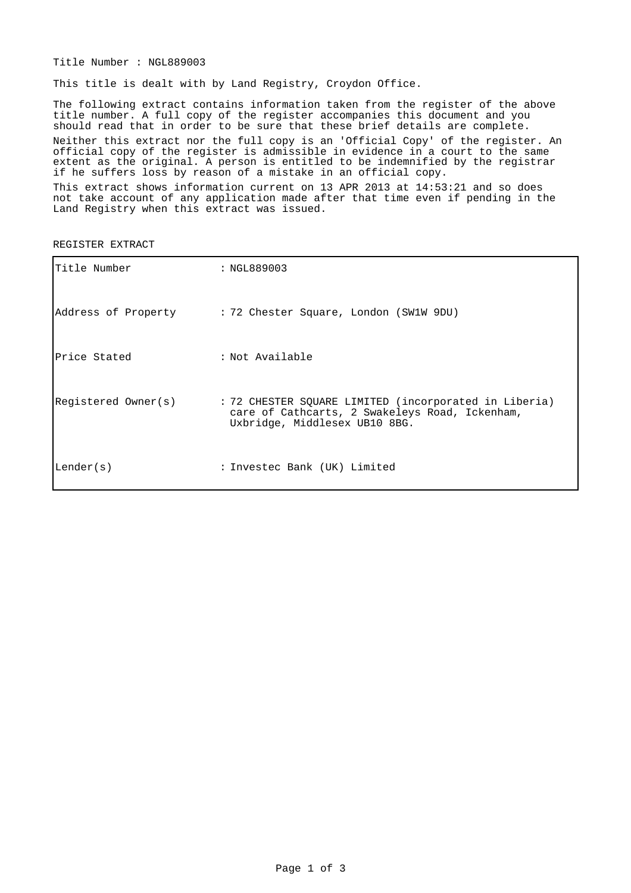Title Number : NGL889003

This title is dealt with by Land Registry, Croydon Office.

The following extract contains information taken from the register of the above title number. A full copy of the register accompanies this document and you should read that in order to be sure that these brief details are complete. Neither this extract nor the full copy is an 'Official Copy' of the register. An official copy of the register is admissible in evidence in a court to the same extent as the original. A person is entitled to be indemnified by the registrar if he suffers loss by reason of a mistake in an official copy.

This extract shows information current on 13 APR 2013 at 14:53:21 and so does not take account of any application made after that time even if pending in the Land Registry when this extract was issued.

| Title Number        | : NGL889003                                                                                                                              |
|---------------------|------------------------------------------------------------------------------------------------------------------------------------------|
|                     | Address of Property : 72 Chester Square, London (SW1W 9DU)                                                                               |
| Price Stated        | : Not Available                                                                                                                          |
| Registered Owner(s) | : 72 CHESTER SQUARE LIMITED (incorporated in Liberia)<br>care of Cathcarts, 2 Swakeleys Road, Ickenham,<br>Uxbridge, Middlesex UB10 8BG. |
| Lender(s)           | : Investec Bank (UK) Limited                                                                                                             |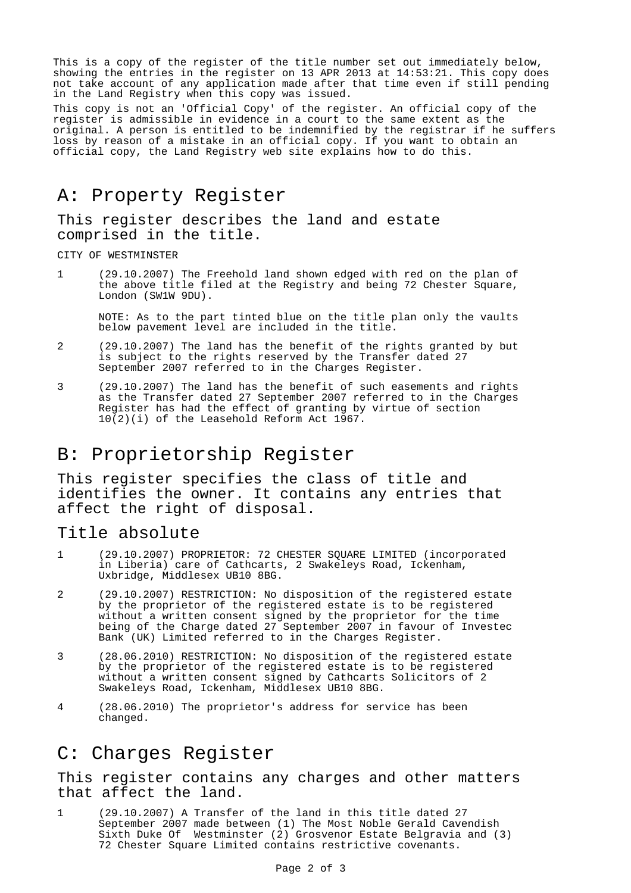This is a copy of the register of the title number set out immediately below, showing the entries in the register on 13 APR 2013 at 14:53:21. This copy does not take account of any application made after that time even if still pending in the Land Registry when this copy was issued.

This copy is not an 'Official Copy' of the register. An official copy of the register is admissible in evidence in a court to the same extent as the original. A person is entitled to be indemnified by the registrar if he suffers loss by reason of a mistake in an official copy. If you want to obtain an official copy, the Land Registry web site explains how to do this.

### A: Property Register

This register describes the land and estate comprised in the title.

CITY OF WESTMINSTER

1 (29.10.2007) The Freehold land shown edged with red on the plan of the above title filed at the Registry and being 72 Chester Square, London (SW1W 9DU).

NOTE: As to the part tinted blue on the title plan only the vaults below pavement level are included in the title.

- 2 (29.10.2007) The land has the benefit of the rights granted by but is subject to the rights reserved by the Transfer dated 27 September 2007 referred to in the Charges Register.
- 3 (29.10.2007) The land has the benefit of such easements and rights as the Transfer dated 27 September 2007 referred to in the Charges Register has had the effect of granting by virtue of section 10(2)(i) of the Leasehold Reform Act 1967.

## B: Proprietorship Register

This register specifies the class of title and identifies the owner. It contains any entries that affect the right of disposal.

#### Title absolute

- 1 (29.10.2007) PROPRIETOR: 72 CHESTER SQUARE LIMITED (incorporated in Liberia) care of Cathcarts, 2 Swakeleys Road, Ickenham, Uxbridge, Middlesex UB10 8BG.
- 2 (29.10.2007) RESTRICTION: No disposition of the registered estate by the proprietor of the registered estate is to be registered without a written consent signed by the proprietor for the time being of the Charge dated 27 September 2007 in favour of Investec Bank (UK) Limited referred to in the Charges Register.
- 3 (28.06.2010) RESTRICTION: No disposition of the registered estate by the proprietor of the registered estate is to be registered without a written consent signed by Cathcarts Solicitors of 2 Swakeleys Road, Ickenham, Middlesex UB10 8BG.
- 4 (28.06.2010) The proprietor's address for service has been changed.

## C: Charges Register

This register contains any charges and other matters that affect the land.

1 (29.10.2007) A Transfer of the land in this title dated 27 September 2007 made between (1) The Most Noble Gerald Cavendish Sixth Duke Of Westminster (2) Grosvenor Estate Belgravia and (3) 72 Chester Square Limited contains restrictive covenants.